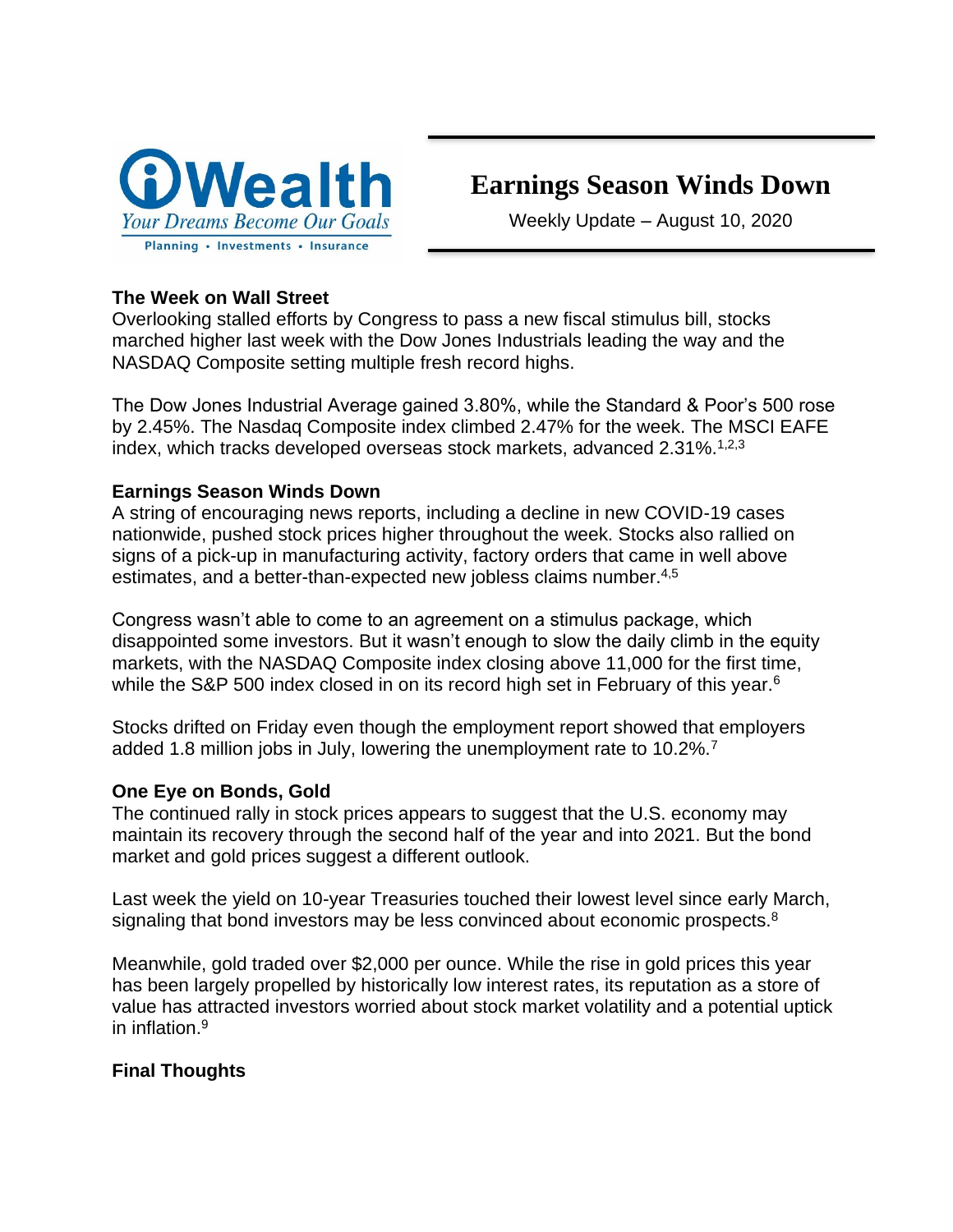

# **Earnings Season Winds Down**

Weekly Update – August 10, 2020

## **The Week on Wall Street**

Overlooking stalled efforts by Congress to pass a new fiscal stimulus bill, stocks marched higher last week with the Dow Jones Industrials leading the way and the NASDAQ Composite setting multiple fresh record highs.

The Dow Jones Industrial Average gained 3.80%, while the Standard & Poor's 500 rose by 2.45%. The Nasdaq Composite index climbed 2.47% for the week. The MSCI EAFE index, which tracks developed overseas stock markets, advanced  $2.31\%$ .<sup>1,2,3</sup>

## **Earnings Season Winds Down**

A string of encouraging news reports, including a decline in new COVID-19 cases nationwide, pushed stock prices higher throughout the week. Stocks also rallied on signs of a pick-up in manufacturing activity, factory orders that came in well above estimates, and a better-than-expected new jobless claims number.<sup>4,5</sup>

Congress wasn't able to come to an agreement on a stimulus package, which disappointed some investors. But it wasn't enough to slow the daily climb in the equity markets, with the NASDAQ Composite index closing above 11,000 for the first time, while the S&P 500 index closed in on its record high set in February of this year.<sup>6</sup>

Stocks drifted on Friday even though the employment report showed that employers added 1.8 million jobs in July, lowering the unemployment rate to 10.2%.<sup>7</sup>

## **One Eye on Bonds, Gold**

The continued rally in stock prices appears to suggest that the U.S. economy may maintain its recovery through the second half of the year and into 2021. But the bond market and gold prices suggest a different outlook.

Last week the yield on 10-year Treasuries touched their lowest level since early March, signaling that bond investors may be less convinced about economic prospects.<sup>8</sup>

Meanwhile, gold traded over \$2,000 per ounce. While the rise in gold prices this year has been largely propelled by historically low interest rates, its reputation as a store of value has attracted investors worried about stock market volatility and a potential uptick in inflation.<sup>9</sup>

## **Final Thoughts**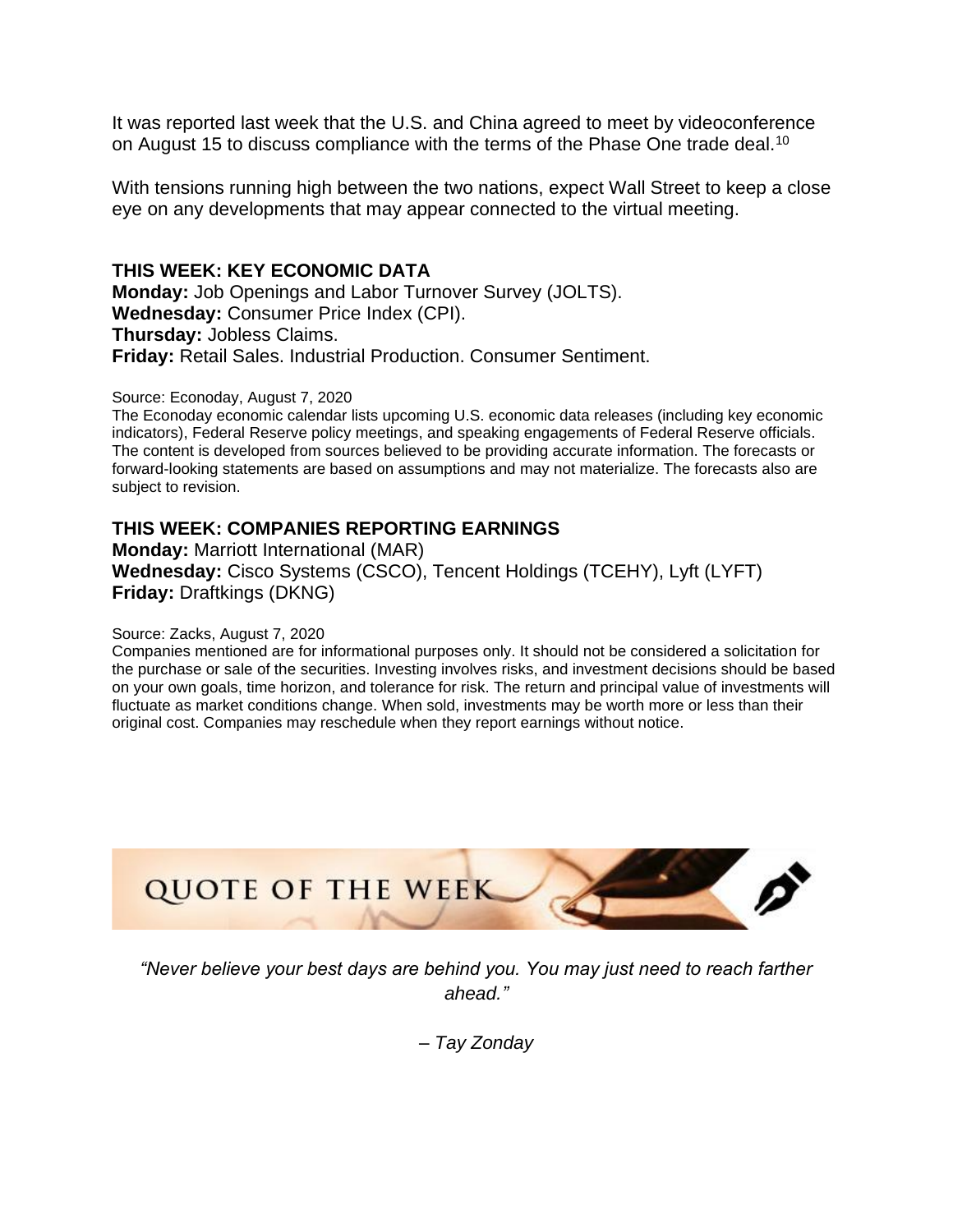It was reported last week that the U.S. and China agreed to meet by videoconference on August 15 to discuss compliance with the terms of the Phase One trade deal.<sup>10</sup>

With tensions running high between the two nations, expect Wall Street to keep a close eye on any developments that may appear connected to the virtual meeting.

## **THIS WEEK: KEY ECONOMIC DATA**

**Monday:** Job Openings and Labor Turnover Survey (JOLTS). **Wednesday:** Consumer Price Index (CPI). **Thursday:** Jobless Claims. **Friday:** Retail Sales. Industrial Production. Consumer Sentiment.

Source: Econoday, August 7, 2020

The Econoday economic calendar lists upcoming U.S. economic data releases (including key economic indicators), Federal Reserve policy meetings, and speaking engagements of Federal Reserve officials. The content is developed from sources believed to be providing accurate information. The forecasts or forward-looking statements are based on assumptions and may not materialize. The forecasts also are subject to revision.

## **THIS WEEK: COMPANIES REPORTING EARNINGS**

**Monday:** Marriott International (MAR) **Wednesday:** Cisco Systems (CSCO), Tencent Holdings (TCEHY), Lyft (LYFT) **Friday:** Draftkings (DKNG)

#### Source: Zacks, August 7, 2020

Companies mentioned are for informational purposes only. It should not be considered a solicitation for the purchase or sale of the securities. Investing involves risks, and investment decisions should be based on your own goals, time horizon, and tolerance for risk. The return and principal value of investments will fluctuate as market conditions change. When sold, investments may be worth more or less than their original cost. Companies may reschedule when they report earnings without notice.



*"Never believe your best days are behind you. You may just need to reach farther ahead."*

*– Tay Zonday*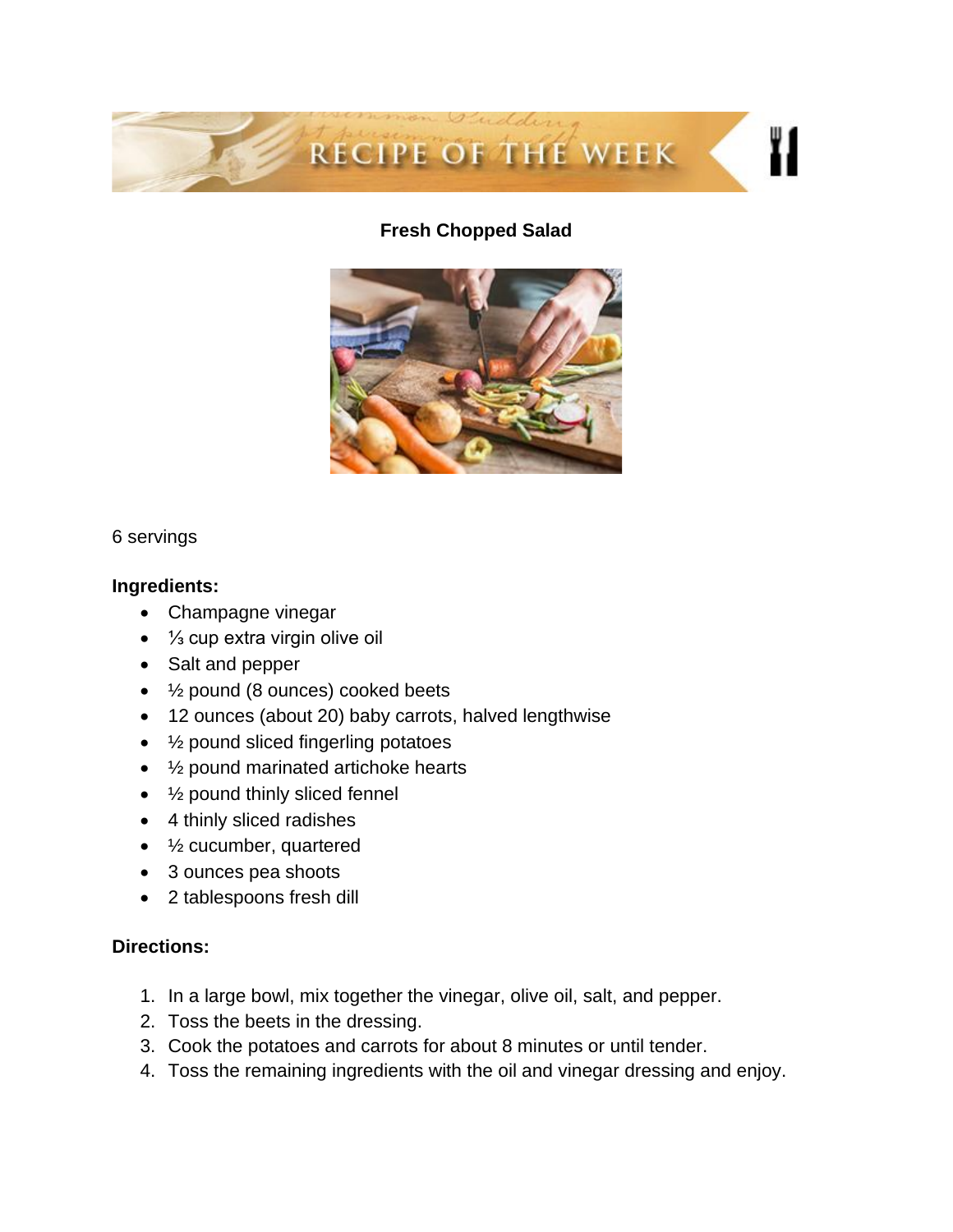

## **Fresh Chopped Salad**



#### 6 servings

#### **Ingredients:**

- Champagne vinegar
- ⅓ cup extra virgin olive oil
- Salt and pepper
- ½ pound (8 ounces) cooked beets
- 12 ounces (about 20) baby carrots, halved lengthwise
- 1/<sub>2</sub> pound sliced fingerling potatoes
- 1/<sub>2</sub> pound marinated artichoke hearts
- 1/<sub>2</sub> pound thinly sliced fennel
- 4 thinly sliced radishes
- 1/2 cucumber, quartered
- 3 ounces pea shoots
- 2 tablespoons fresh dill

## **Directions:**

- 1. In a large bowl, mix together the vinegar, olive oil, salt, and pepper.
- 2. Toss the beets in the dressing.
- 3. Cook the potatoes and carrots for about 8 minutes or until tender.
- 4. Toss the remaining ingredients with the oil and vinegar dressing and enjoy.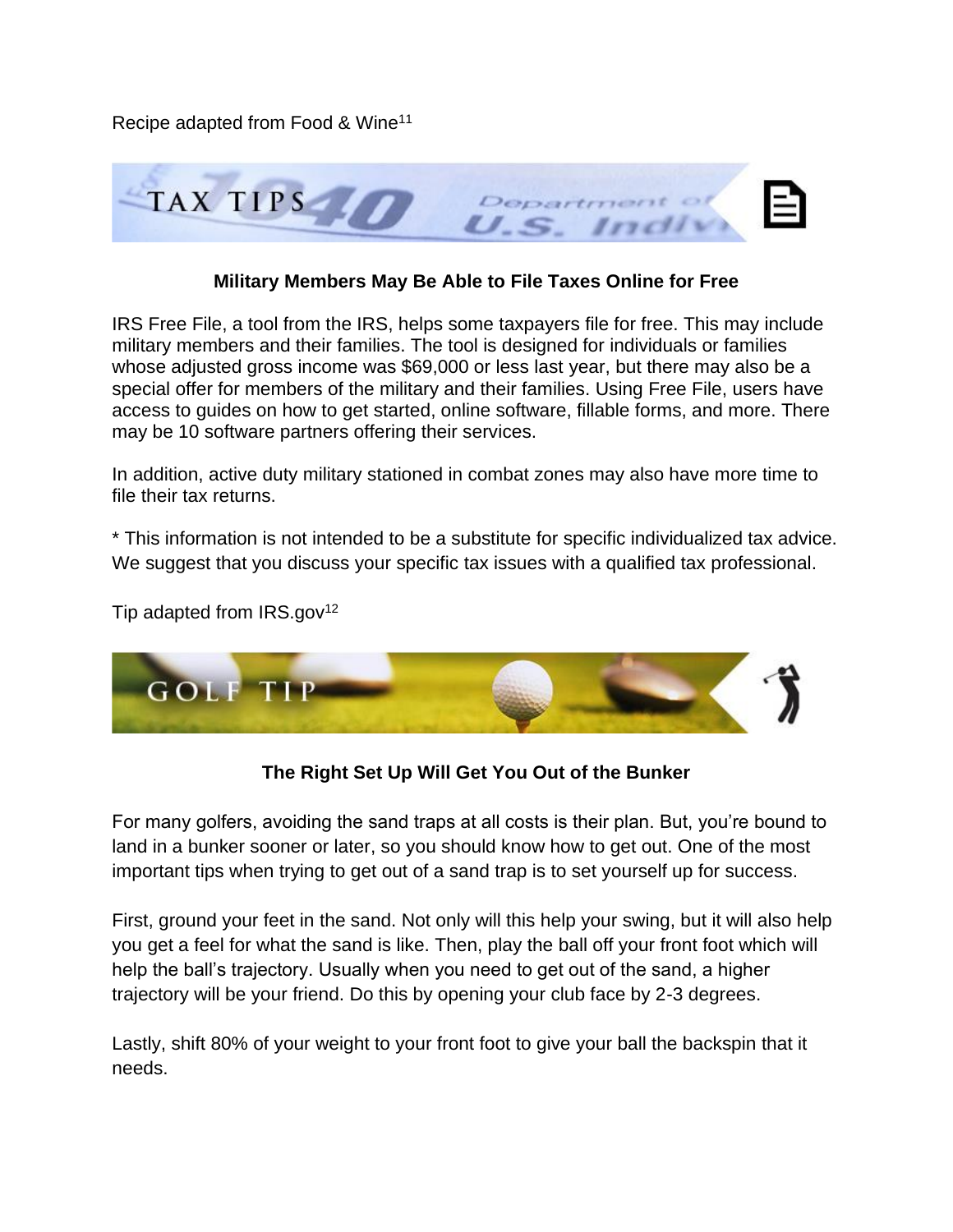Recipe adapted from Food & Wine<sup>11</sup>



## **Military Members May Be Able to File Taxes Online for Free**

IRS Free File, a tool from the IRS, helps some taxpayers file for free. This may include military members and their families. The tool is designed for individuals or families whose adjusted gross income was \$69,000 or less last year, but there may also be a special offer for members of the military and their families. Using Free File, users have access to guides on how to get started, online software, fillable forms, and more. There may be 10 software partners offering their services.

In addition, active duty military stationed in combat zones may also have more time to file their tax returns.

\* This information is not intended to be a substitute for specific individualized tax advice. We suggest that you discuss your specific tax issues with a qualified tax professional.

Tip adapted from  $IRS.gov^{12}$ 



**The Right Set Up Will Get You Out of the Bunker**

For many golfers, avoiding the sand traps at all costs is their plan. But, you're bound to land in a bunker sooner or later, so you should know how to get out. One of the most important tips when trying to get out of a sand trap is to set yourself up for success.

First, ground your feet in the sand. Not only will this help your swing, but it will also help you get a feel for what the sand is like. Then, play the ball off your front foot which will help the ball's trajectory. Usually when you need to get out of the sand, a higher trajectory will be your friend. Do this by opening your club face by 2-3 degrees.

Lastly, shift 80% of your weight to your front foot to give your ball the backspin that it needs.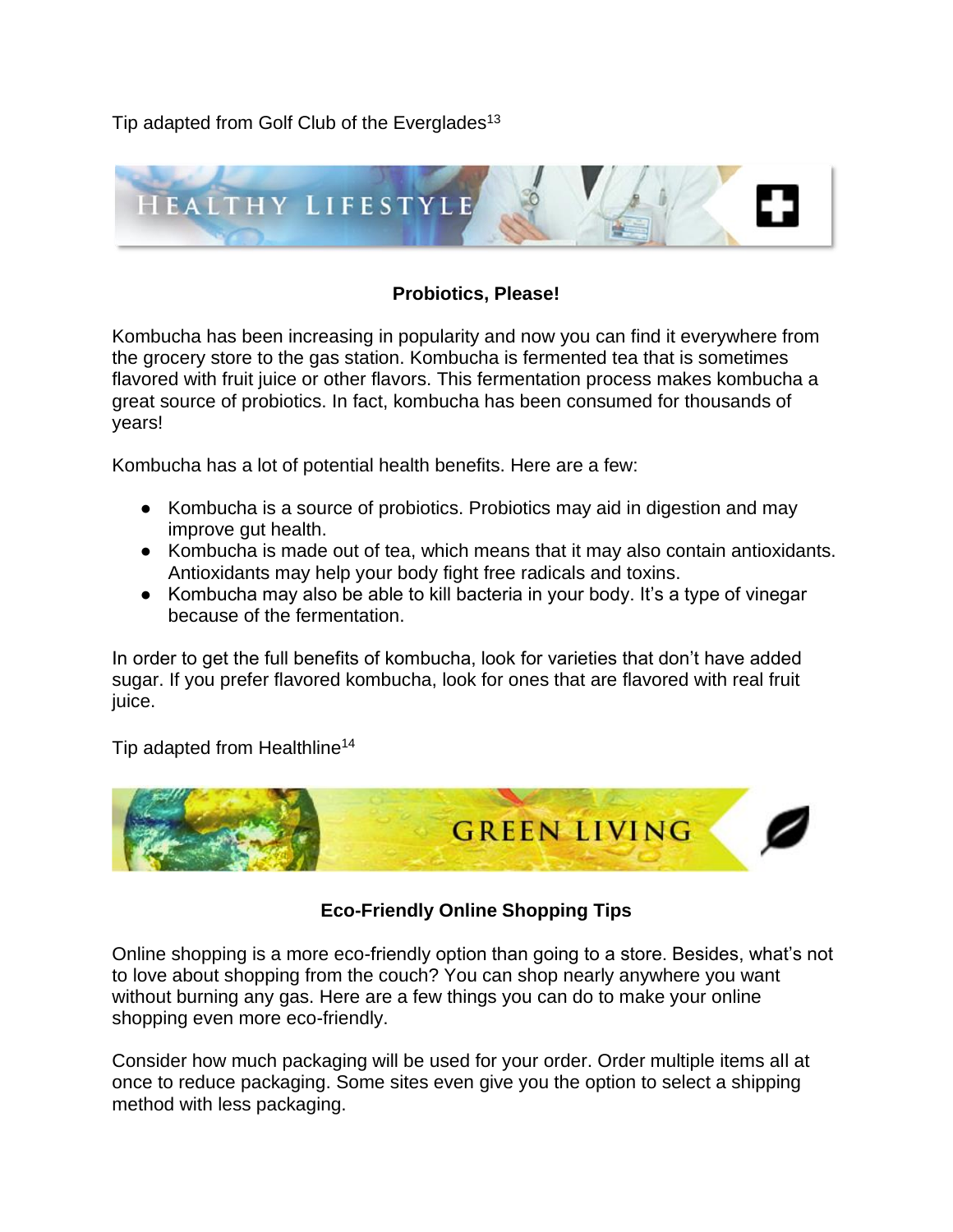Tip adapted from Golf Club of the Everglades<sup>13</sup>



## **Probiotics, Please!**

Kombucha has been increasing in popularity and now you can find it everywhere from the grocery store to the gas station. Kombucha is fermented tea that is sometimes flavored with fruit juice or other flavors. This fermentation process makes kombucha a great source of probiotics. In fact, kombucha has been consumed for thousands of years!

Kombucha has a lot of potential health benefits. Here are a few:

- Kombucha is a source of probiotics. Probiotics may aid in digestion and may improve gut health.
- Kombucha is made out of tea, which means that it may also contain antioxidants. Antioxidants may help your body fight free radicals and toxins.
- Kombucha may also be able to kill bacteria in your body. It's a type of vinegar because of the fermentation.

In order to get the full benefits of kombucha, look for varieties that don't have added sugar. If you prefer flavored kombucha, look for ones that are flavored with real fruit juice.

Tip adapted from Healthline<sup>14</sup>



# **Eco-Friendly Online Shopping Tips**

Online shopping is a more eco-friendly option than going to a store. Besides, what's not to love about shopping from the couch? You can shop nearly anywhere you want without burning any gas. Here are a few things you can do to make your online shopping even more eco-friendly.

Consider how much packaging will be used for your order. Order multiple items all at once to reduce packaging. Some sites even give you the option to select a shipping method with less packaging.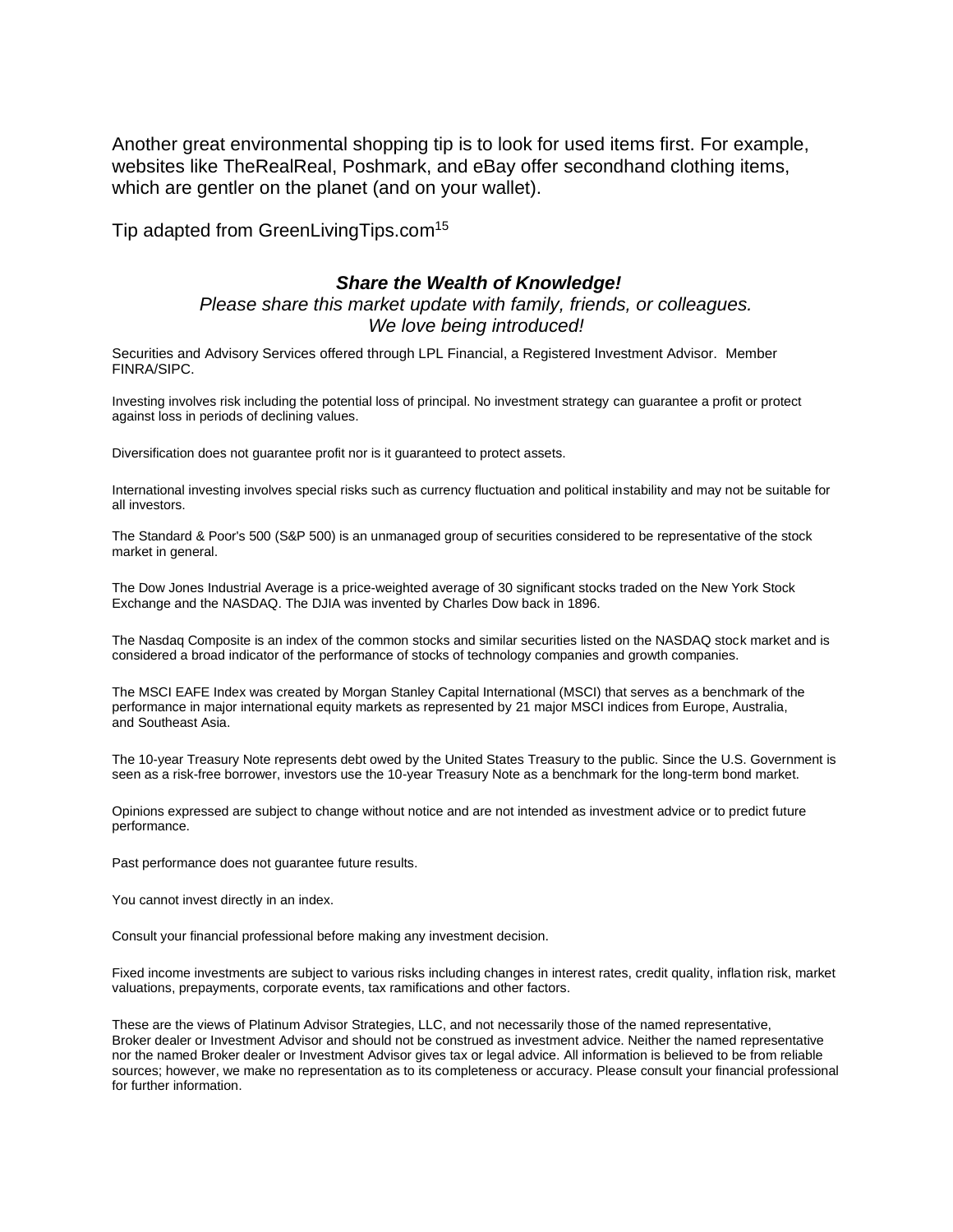Another great environmental shopping tip is to look for used items first. For example, websites like TheRealReal, Poshmark, and eBay offer secondhand clothing items, which are gentler on the planet (and on your wallet).

Tip adapted from GreenLivingTips.com<sup>15</sup>

#### *Share the Wealth of Knowledge!*

## *Please share this market update with family, friends, or colleagues. We love being introduced!*

Securities and Advisory Services offered through LPL Financial, a Registered Investment Advisor. Member FINRA/SIPC.

Investing involves risk including the potential loss of principal. No investment strategy can guarantee a profit or protect against loss in periods of declining values.

Diversification does not guarantee profit nor is it guaranteed to protect assets.

International investing involves special risks such as currency fluctuation and political instability and may not be suitable for all investors.

The Standard & Poor's 500 (S&P 500) is an unmanaged group of securities considered to be representative of the stock market in general.

The Dow Jones Industrial Average is a price-weighted average of 30 significant stocks traded on the New York Stock Exchange and the NASDAQ. The DJIA was invented by Charles Dow back in 1896.

The Nasdaq Composite is an index of the common stocks and similar securities listed on the NASDAQ stock market and is considered a broad indicator of the performance of stocks of technology companies and growth companies.

The MSCI EAFE Index was created by Morgan Stanley Capital International (MSCI) that serves as a benchmark of the performance in major international equity markets as represented by 21 major MSCI indices from Europe, Australia, and Southeast Asia.

The 10-year Treasury Note represents debt owed by the United States Treasury to the public. Since the U.S. Government is seen as a risk-free borrower, investors use the 10-year Treasury Note as a benchmark for the long-term bond market.

Opinions expressed are subject to change without notice and are not intended as investment advice or to predict future performance.

Past performance does not guarantee future results.

You cannot invest directly in an index.

Consult your financial professional before making any investment decision.

Fixed income investments are subject to various risks including changes in interest rates, credit quality, inflation risk, market valuations, prepayments, corporate events, tax ramifications and other factors.

These are the views of Platinum Advisor Strategies, LLC, and not necessarily those of the named representative, Broker dealer or Investment Advisor and should not be construed as investment advice. Neither the named representative nor the named Broker dealer or Investment Advisor gives tax or legal advice. All information is believed to be from reliable sources; however, we make no representation as to its completeness or accuracy. Please consult your financial professional for further information.